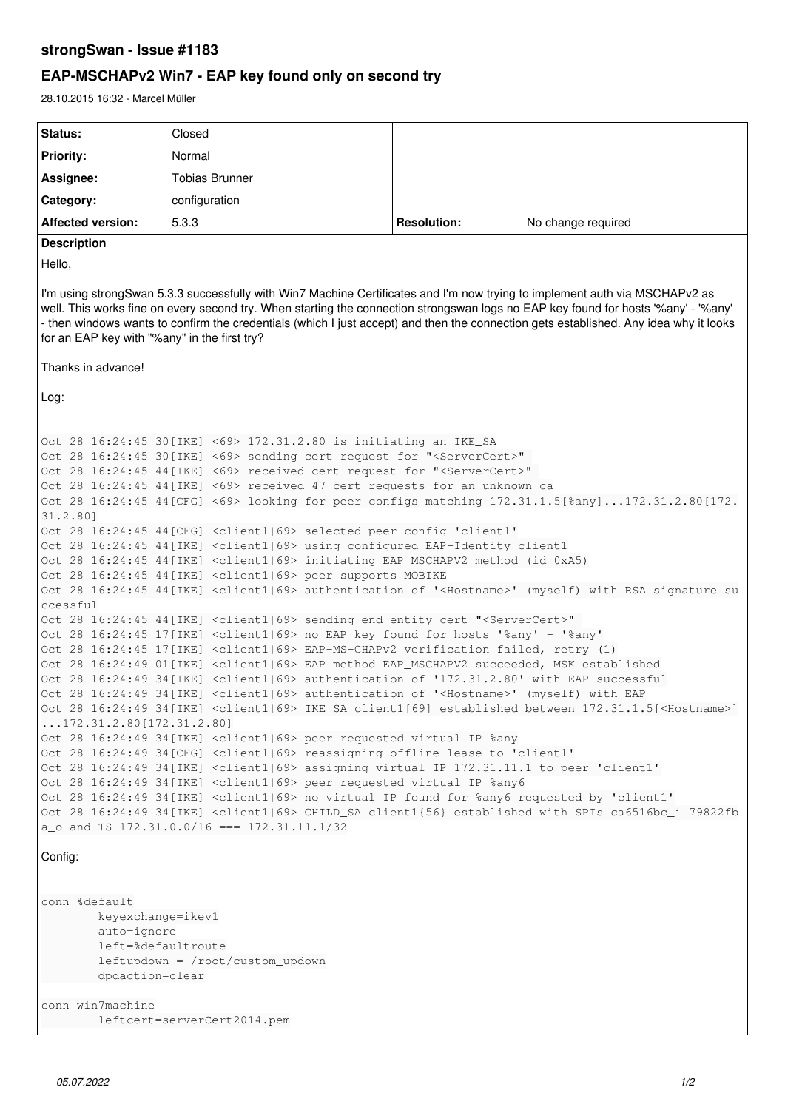## **strongSwan - Issue #1183**

# **EAP-MSCHAPv2 Win7 - EAP key found only on second try**

28.10.2015 16:32 - Marcel Müller

```
Status: Closed
Priority: Normal
Assignee: Tobias Brunner
Category: configuration
Affected version: 5.3.3 Resolution: No change required
Description
Hello,
I'm using strongSwan 5.3.3 successfully with Win7 Machine Certificates and I'm now trying to implement auth via MSCHAPv2 as
well. This works fine on every second try. When starting the connection strongswan logs no EAP key found for hosts '%any' - '%any'
- then windows wants to confirm the credentials (which I just accept) and then the connection gets established. Any idea why it looks
for an EAP key with "%any" in the first try?
Thanks in advance!
Log:
Oct 28 16:24:45 30[IKE] <69> 172.31.2.80 is initiating an IKE_SA
Oct 28 16:24:45 30[IKE] <69> sending cert request for "<ServerCert>" 
Oct 28 16:24:45 44[IKE] <69> received cert request for "<ServerCert>" 
Oct 28 16:24:45 44[IKE] <69> received 47 cert requests for an unknown ca
Oct 28 16:24:45 44[CFG] <69> looking for peer configs matching 172.31.1.5[%any]...172.31.2.80[172.
31.2.80]
Oct 28 16:24:45 44[CFG] <client1|69> selected peer config 'client1'
Oct 28 16:24:45 44[IKE] <client1|69> using configured EAP-Identity client1
Oct 28 16:24:45 44[IKE] <client1|69> initiating EAP_MSCHAPV2 method (id 0xA5)
Oct 28 16:24:45 44[IKE] <client1|69> peer supports MOBIKE
Oct 28 16:24:45 44[IKE] <client1|69> authentication of '<Hostname>' (myself) with RSA signature su
ccessful
Oct 28 16:24:45 44 [IKE] <client1|69> sending end entity cert "<ServerCert>"
Oct 28 16:24:45 17[IKE] <client1|69> no EAP key found for hosts '%any' - '%any'
Oct 28 16:24:45 17[IKE] <client1|69> EAP-MS-CHAPv2 verification failed, retry (1)
Oct 28 16:24:49 01[IKE] <client1|69> EAP method EAP_MSCHAPV2 succeeded, MSK established
Oct 28 16:24:49 34[IKE] <client1|69> authentication of '172.31.2.80' with EAP successful
Oct 28 16:24:49 34[IKE] <client1|69> authentication of '<Hostname>' (myself) with EAP
Oct 28 16:24:49 34[IKE] <client1|69> IKE_SA client1[69] established between 172.31.1.5[<Hostname>]
...172.31.2.80[172.31.2.80]
Oct 28 16:24:49 34[IKE] <client1|69> peer requested virtual IP %any
Oct 28 16:24:49 34[CFG] <client1|69> reassigning offline lease to 'client1'
Oct 28 16:24:49 34[IKE] <client1|69> assigning virtual IP 172.31.11.1 to peer 'client1'
Oct 28 16:24:49 34[IKE] <client1|69> peer requested virtual IP %any6
Oct 28 16:24:49 34[IKE] <client1|69> no virtual IP found for %any6 requested by 'client1'
Oct 28 16:24:49 34[IKE] <client1|69> CHILD_SA client1{56} established with SPIs ca6516bc_i 79822fb
a_o and TS 172.31.0.0/16 === 172.31.11.1/32
Config:
conn %default
                keyexchange=ikev1
                auto=ignore
                left=%defaultroute
                leftupdown = /root/custom_updown
                dpdaction=clear
conn win7machine
             leftcert=serverCert2014.pem
```